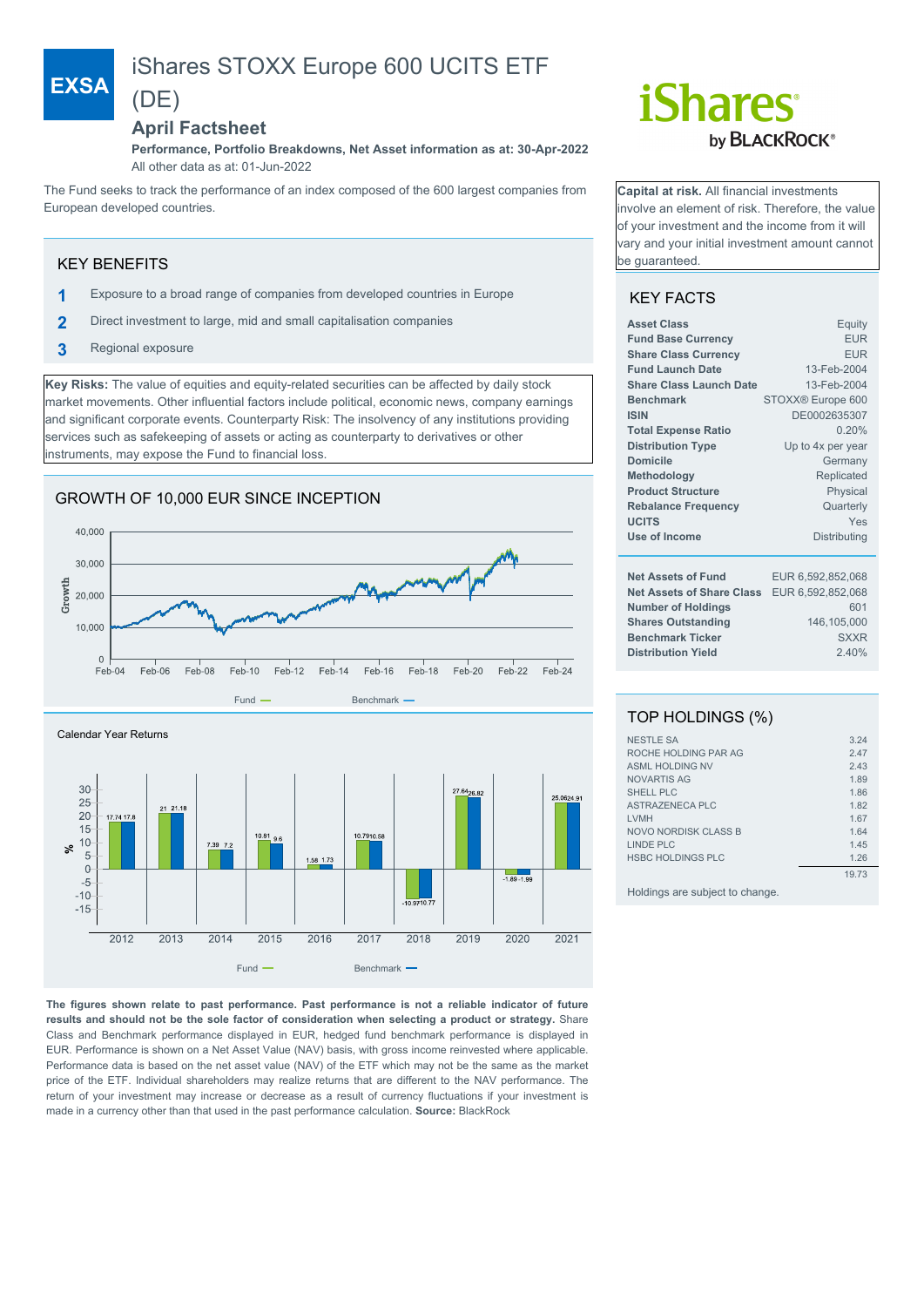# iShares STOXX Europe 600 UCITS ETF (DE)

## **April Factsheet**

**Performance, Portfolio Breakdowns, Net Asset information as at: 30-Apr-2022** All other data as at: 01-Jun-2022

The Fund seeks to track the performance of an index composed of the 600 largest companies from European developed countries.

### KEY BENEFITS

**EXSA**

- **1** Exposure to a broad range of companies from developed countries in Europe
- **2** Direct investment to large, mid and small capitalisation companies
- **3** Regional exposure

**Key Risks:** The value of equities and equity-related securities can be affected by daily stock market movements. Other influential factors include political, economic news, company earnings and significant corporate events. Counterparty Risk: The insolvency of any institutions providing services such as safekeeping of assets or acting as counterparty to derivatives or other instruments, may expose the Fund to financial loss.

# GROWTH OF 10,000 EUR SINCE INCEPTION





**The figures shown relate to past performance. Past performance is not a reliable indicator of future results and should not be the sole factor of consideration when selecting a product or strategy.** Share Class and Benchmark performance displayed in EUR, hedged fund benchmark performance is displayed in EUR. Performance is shown on a Net Asset Value (NAV) basis, with gross income reinvested where applicable. Performance data is based on the net asset value (NAV) of the ETF which may not be the same as the market price of the ETF. Individual shareholders may realize returns that are different to the NAV performance. The return of your investment may increase or decrease as a result of currency fluctuations if your investment is made in a currency other than that used in the past performance calculation. **Source:** BlackRock

# *iShares* by **BLACKROCK**<sup>®</sup>

**Capital at risk.** All financial investments involve an element of risk. Therefore, the value of your investment and the income from it will vary and your initial investment amount cannot be guaranteed.

# KEY FACTS

| <b>Asset Class</b>               | Equity            |
|----------------------------------|-------------------|
| <b>Fund Base Currency</b>        | <b>EUR</b>        |
| <b>Share Class Currency</b>      | <b>EUR</b>        |
| <b>Fund Launch Date</b>          | 13-Feb-2004       |
| Share Class Launch Date          | 13-Feb-2004       |
| <b>Benchmark</b>                 | STOXX® Europe 600 |
| <b>ISIN</b>                      | DE0002635307      |
| <b>Total Expense Ratio</b>       | 0.20%             |
| <b>Distribution Type</b>         | Up to 4x per year |
| <b>Domicile</b>                  | Germany           |
| Methodology                      | Replicated        |
| <b>Product Structure</b>         | Physical          |
| <b>Rebalance Frequency</b>       | Quarterly         |
| <b>UCITS</b>                     | Yes               |
| Use of Income                    | Distributing      |
|                                  |                   |
| <b>Net Assets of Fund</b>        | EUR 6,592,852,068 |
| <b>Net Assets of Share Class</b> | EUR 6,592,852,068 |
| <b>Number of Holdings</b>        | 601               |
| <b>Shares Outstanding</b>        | 146,105,000       |
| <b>Benchmark Ticker</b>          | <b>SXXR</b>       |
| <b>Distribution Yield</b>        | 2.40%             |
|                                  |                   |

## TOP HOLDINGS (%)

| <b>NESTLE SA</b>         | 3.24  |
|--------------------------|-------|
| ROCHE HOLDING PAR AG     | 2.47  |
| <b>ASML HOLDING NV</b>   | 2.43  |
| NOVARTIS AG              | 1.89  |
| SHELL PLC                | 1.86  |
| ASTRAZENECA PLC          | 1.82  |
| <b>LVMH</b>              | 1.67  |
| NOVO NORDISK CLASS B     | 1.64  |
| LINDE PLC                | 1.45  |
| <b>HSBC HOLDINGS PLC</b> | 1.26  |
|                          | 19.73 |

Holdings are subject to change.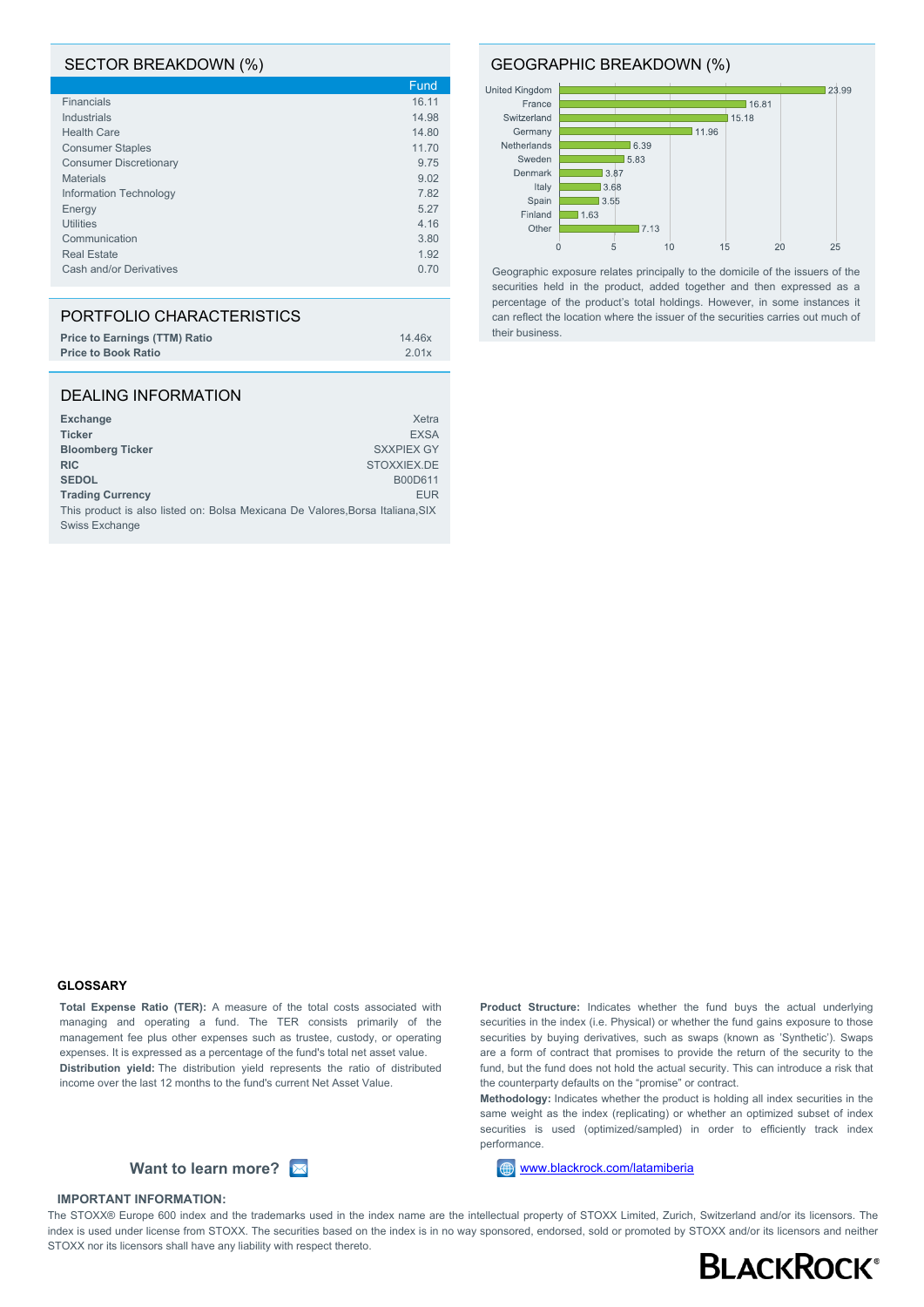#### SECTOR BREAKDOWN (%)

|                               | Fund  |
|-------------------------------|-------|
| <b>Financials</b>             | 16.11 |
| Industrials                   | 14.98 |
| <b>Health Care</b>            | 14.80 |
| <b>Consumer Staples</b>       | 11.70 |
| <b>Consumer Discretionary</b> | 9.75  |
| <b>Materials</b>              | 9.02  |
| Information Technology        | 7.82  |
| Energy                        | 5.27  |
| <b>Utilities</b>              | 4.16  |
| Communication                 | 3.80  |
| <b>Real Estate</b>            | 1.92  |
| Cash and/or Derivatives       | 0.70  |
|                               |       |

| PORTFOLIO CHARACTERISTICS            |        |
|--------------------------------------|--------|
| <b>Price to Earnings (TTM) Ratio</b> | 14.46x |
| <b>Price to Book Ratio</b>           | 2.01x  |

#### DEALING INFORMATION

| <b>Exchange</b>                                                                | Xetra             |
|--------------------------------------------------------------------------------|-------------------|
| <b>Ticker</b>                                                                  | <b>EXSA</b>       |
| <b>Bloomberg Ticker</b>                                                        | <b>SXXPIEX GY</b> |
| <b>RIC</b>                                                                     | STOXXIEX.DE       |
| <b>SEDOL</b>                                                                   | B00D611           |
| <b>Trading Currency</b>                                                        | <b>EUR</b>        |
| This product is also listed on: Bolsa Mexicana De Valores, Borsa Italiana, SIX |                   |
| Swiss Exchange                                                                 |                   |

#### GEOGRAPHIC BREAKDOWN (%)



Geographic exposure relates principally to the domicile of the issuers of the securities held in the product, added together and then expressed as a percentage of the product's total holdings. However, in some instances it can reflect the location where the issuer of the securities carries out much of their business.

#### **GLOSSARY**

**Total Expense Ratio (TER):** A measure of the total costs associated with managing and operating a fund. The TER consists primarily of the management fee plus other expenses such as trustee, custody, or operating expenses. It is expressed as a percentage of the fund's total net asset value. **Distribution yield:** The distribution yield represents the ratio of distributed income over the last 12 months to the fund's current Net Asset Value.



#### **IMPORTANT INFORMATION:**

**Product Structure:** Indicates whether the fund buys the actual underlying securities in the index (i.e. Physical) or whether the fund gains exposure to those securities by buying derivatives, such as swaps (known as 'Synthetic'). Swaps are a form of contract that promises to provide the return of the security to the fund, but the fund does not hold the actual security. This can introduce a risk that the counterparty defaults on the "promise" or contract.

**Methodology:** Indicates whether the product is holding all index securities in the same weight as the index (replicating) or whether an optimized subset of index securities is used (optimized/sampled) in order to efficiently track index performance.

The STOXX® Europe 600 index and the trademarks used in the index name are the intellectual property of STOXX Limited, Zurich, Switzerland and/or its licensors. The index is used under license from STOXX. The securities based on the index is in no way sponsored, endorsed, sold or promoted by STOXX and/or its licensors and neither STOXX nor its licensors shall have any liability with respect thereto.